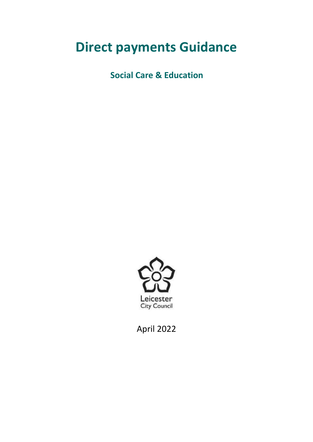# **Direct payments Guidance**

**Social Care & Education** 



April 2022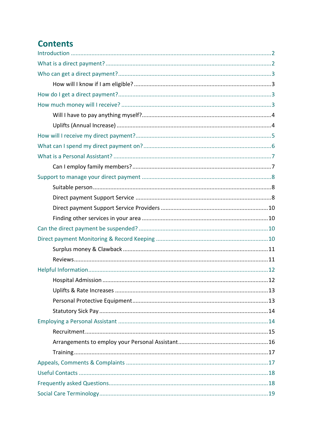# **Contents**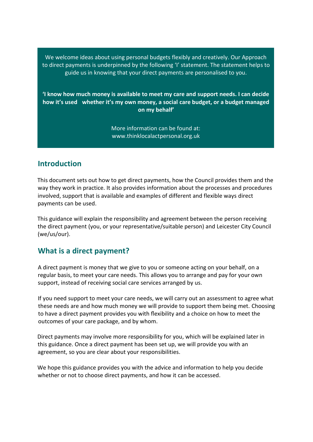We welcome ideas about using personal budgets flexibly and creatively. Our Approach to direct payments is underpinned by the following 'I' statement. The statement helps to guide us in knowing that your direct payments are personalised to you.

 **'I know how much money is available to meet my care and support needs. I can decide - how it's used whether it's my own money, a social care budget, or a budget managed on my behalf'**

> More information can be found at: <www.thinklocalactpersonal.org.uk>

## <span id="page-2-0"></span>**Introduction**

 This document sets out how to get direct payments, how the Council provides them and the way they work in practice. It also provides information about the processes and procedures involved, support that is available and examples of different and flexible ways direct payments can be used.

 This guidance will explain the responsibility and agreement between the person receiving the direct payment (you, or your representative/suitable person) and Leicester City Council (we/us/our).

## <span id="page-2-1"></span>**What is a direct payment?**

 A direct payment is money that we give to you or someone acting on your behalf, on a regular basis, to meet your care needs. This allows you to arrange and pay for your own support, instead of receiving social care services arranged by us.

 If you need support to meet your care needs, we will carry out an assessment to agree what these needs are and how much money we will provide to support them being met. Choosing to have a direct payment provides you with flexibility and a choice on how to meet the outcomes of your care package, and by whom.

 Direct payments may involve more responsibility for you, which will be explained later in this guidance. Once a direct payment has been set up, we will provide you with an agreement, so you are clear about your responsibilities.

 We hope this guidance provides you with the advice and information to help you decide whether or not to choose direct payments, and how it can be accessed.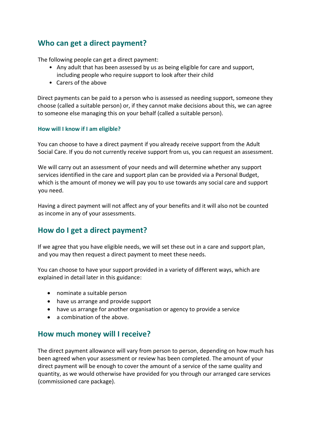## <span id="page-3-0"></span>**Who can get a direct payment?**

The following people can get a direct payment:

- • Any adult that has been assessed by us as being eligible for care and support, including people who require support to look after their child
- Carers of the above

 Direct payments can be paid to a person who is assessed as needing support, someone they choose (called a suitable person) or, if they cannot make decisions about this, we can agree to someone else managing this on your behalf (called a suitable person).

#### <span id="page-3-1"></span> **How will I know if I am eligible?**

 You can choose to have a direct payment if you already receive support from the Adult Social Care. If you do not currently receive support from us, you can request an assessment.

 We will carry out an assessment of your needs and will determine whether any support services identified in the care and support plan can be provided via a Personal Budget, which is the amount of money we will pay you to use towards any social care and support you need.

 Having a direct payment will not affect any of your benefits and it will also not be counted as income in any of your assessments.

## <span id="page-3-2"></span>**How do I get a direct payment?**

 If we agree that you have eligible needs, we will set these out in a care and support plan, and you may then request a direct payment to meet these needs.

 You can choose to have your support provided in a variety of different ways, which are explained in detail later in this guidance:

- nominate a suitable person
- have us arrange and provide support
- have us arrange for another organisation or agency to provide a service
- a combination of the above.

## <span id="page-3-3"></span>**How much money will I receive?**

 The direct payment allowance will vary from person to person, depending on how much has been agreed when your assessment or review has been completed. The amount of your direct payment will be enough to cover the amount of a service of the same quality and quantity, as we would otherwise have provided for you through our arranged care services (commissioned care package).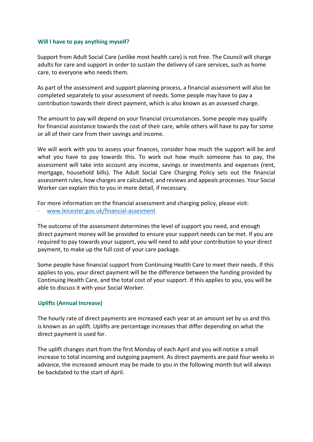#### <span id="page-4-0"></span> **Will I have to pay anything myself?**

 Support from Adult Social Care (unlike most health care) is not free. The Council will charge adults for care and support in order to sustain the delivery of care services, such as home care, to everyone who needs them.

 As part of the assessment and support planning process, a financial assessment will also be completed separately to your assessment of needs. Some people may have to pay a contribution towards their direct payment, which is also known as an assessed charge.

 The amount to pay will depend on your financial circumstances. Some people may qualify for financial assistance towards the cost of their care, while others will have to pay for some or all of their care from their savings and income.

 We will work with you to assess your finances, consider how much the support will be and what you have to pay towards this. To work out how much someone has to pay, the assessment will take into account any income, savings or investments and expenses (rent, mortgage, household bills). The Adult Social Care Charging Policy sets out the financial assessment rules, how charges are calculated, and reviews and appeals processes. Your Social Worker can explain this to you in more detail, if necessary.

 For more information on the financial assessment and charging policy, please visit: - [www.leicester.gov.uk/financial-assesment](http://www.leicester.gov.uk/financial-assesment) 

 The outcome of the assessment determines the level of support you need, and enough direct payment money will be provided to ensure your support needs can be met. If you are required to pay towards your support, you will need to add your contribution to your direct payment, to make up the full cost of your care package.

 Some people have financial support from Continuing Health Care to meet their needs. If this applies to you, your direct payment will be the difference between the funding provided by Continuing Health Care, and the total cost of your support. If this applies to you, you will be able to discuss it with your Social Worker.

#### <span id="page-4-1"></span>**Uplifts (Annual Increase)**

 The hourly rate of direct payments are increased each year at an amount set by us and this is known as an uplift. Uplifts are percentage increases that differ depending on what the direct payment is used for.

 The uplift changes start from the first Monday of each April and you will notice a small advance, the increased amount may be made to you in the following month but will always be backdated to the start of April. increase to total incoming and outgoing payment. As direct payments are paid four weeks in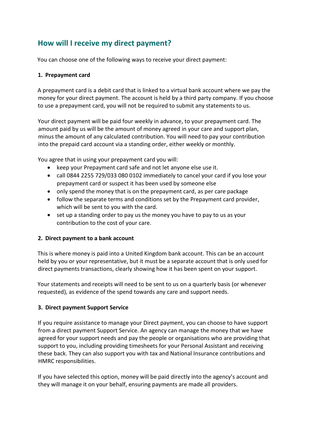## <span id="page-5-0"></span>**How will I receive my direct payment?**

You can choose one of the following ways to receive your direct payment:

#### **1. Prepayment card**

 A prepayment card is a debit card that is linked to a virtual bank account where we pay the money for your direct payment. The account is held by a third party company. If you choose to use a prepayment card, you will not be required to submit any statements to us.

 amount paid by us will be the amount of money agreed in your care and support plan, minus the amount of any calculated contribution. You will need to pay your contribution into the prepaid card account via a standing order, either weekly or monthly. Your direct payment will be paid four weekly in advance, to your prepayment card. The

You agree that in using your prepayment card you will:

- keep your Prepayment card safe and not let anyone else use it.
- • call 0844 2255 729/033 080 0102 immediately to cancel your card if you lose your prepayment card or suspect it has been used by someone else
- only spend the money that is on the prepayment card, as per care package
- • follow the separate terms and conditions set by the Prepayment card provider, which will be sent to you with the card.
- • set up a standing order to pay us the money you have to pay to us as your contribution to the cost of your care.

#### **2. Direct payment to a bank account**

 This is where money is paid into a United Kingdom bank account. This can be an account held by you or your representative, but it must be a separate account that is only used for direct payments transactions, clearly showing how it has been spent on your support.

 Your statements and receipts will need to be sent to us on a quarterly basis (or whenever requested), as evidence of the spend towards any care and support needs.

#### **3. Direct payment Support Service**

 If you require assistance to manage your Direct payment, you can choose to have support from a direct payment Support Service. An agency can manage the money that we have agreed for your support needs and pay the people or organisations who are providing that support to you, including providing timesheets for your Personal Assistant and receiving these back. They can also support you with tax and National Insurance contributions and HMRC responsibilities.

 If you have selected this option, money will be paid directly into the agency's account and they will manage it on your behalf, ensuring payments are made all providers.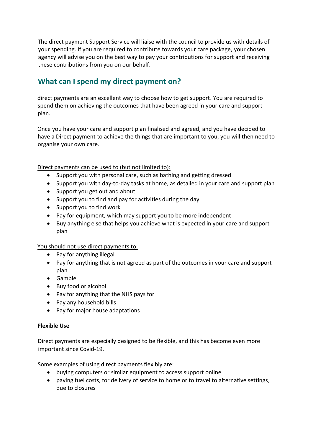The direct payment Support Service will liaise with the council to provide us with details of your spending. If you are required to contribute towards your care package, your chosen agency will advise you on the best way to pay your contributions for support and receiving these contributions from you on our behalf.

## <span id="page-6-0"></span>**What can I spend my direct payment on?**

 direct payments are an excellent way to choose how to get support. You are required to spend them on achieving the outcomes that have been agreed in your care and support plan.

 Once you have your care and support plan finalised and agreed, and you have decided to have a Direct payment to achieve the things that are important to you, you will then need to organise your own care.

Direct payments can be used to (but not limited to):

- Support you with personal care, such as bathing and getting dressed
- Support you with day-to-day tasks at home, as detailed in your care and support plan
- Support you get out and about
- Support you to find and pay for activities during the day
- Support you to find work
- Pay for equipment, which may support you to be more independent
- • Buy anything else that helps you achieve what is expected in your care and support plan

You should not use direct payments to:

- Pay for anything illegal
- • Pay for anything that is not agreed as part of the outcomes in your care and support plan
- Gamble
- Buy food or alcohol
- Pay for anything that the NHS pays for
- Pay any household bills
- Pay for major house adaptations

#### **Flexible Use**

 Direct payments are especially designed to be flexible, and this has become even more important since Covid-19.

Some examples of using direct payments flexibly are:

- buying computers or similar equipment to access support online
- • paying fuel costs, for delivery of service to home or to travel to alternative settings, due to closures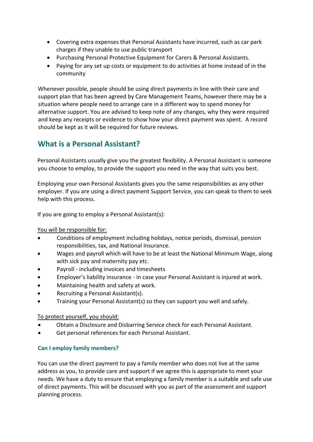- • Covering extra expenses that Personal Assistants have incurred, such as car park charges if they unable to use public transport
- Purchasing Personal Protective Equipment for Carers & Personal Assistants.
- • Paying for any set up costs or equipment to do activities at home instead of in the community

 Whenever possible, people should be using direct payments in line with their care and support plan that has been agreed by Care Management Teams, however there may be a situation where people need to arrange care in a different way to spend money for alternative support. You are advised to keep note of any changes, why they were required and keep any receipts or evidence to show how your direct payment was spent. A record should be kept as it will be required for future reviews.

## <span id="page-7-0"></span>**What is a Personal Assistant?**

 Personal Assistants usually give you the greatest flexibility. A Personal Assistant is someone you choose to employ, to provide the support you need in the way that suits you best.

 Employing your own Personal Assistants gives you the same responsibilities as any other employer. If you are using a direct payment Support Service, you can speak to them to seek help with this process.

If you are going to employ a Personal Assistant(s):

You will be responsible for:

- Conditions of employment including holidays, notice periods, dismissal, pension responsibilities, tax, and National Insurance.
- • Wages and payroll which will have to be at least the National Minimum Wage, along with sick pay and maternity pay etc.
- Payroll including invoices and timesheets
- Employer's liability insurance in case your Personal Assistant is injured at work.
- Maintaining health and safety at work.
- Recruiting a Personal Assistant(s).
- Training your Personal Assistant(s) so they can support you well and safely.

To protect yourself, you should:

- Obtain a Disclosure and Disbarring Service check for each Personal Assistant.
- Get personal references for each Personal Assistant.

#### <span id="page-7-1"></span> **Can I employ family members?**

 You can use the direct payment to pay a family member who does not live at the same address as you, to provide care and support if we agree this is appropriate to meet your needs. We have a duty to ensure that employing a family member is a suitable and safe use of direct payments. This will be discussed with you as part of the assessment and support planning process.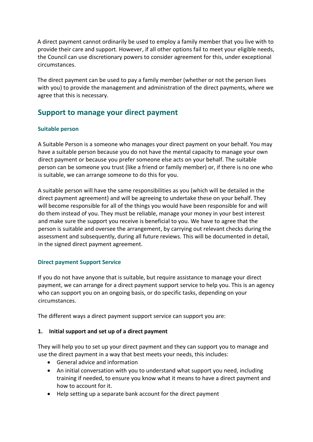A direct payment cannot ordinarily be used to employ a family member that you live with to provide their care and support. However, if all other options fail to meet your eligible needs, the Council can use discretionary powers to consider agreement for this, under exceptional circumstances.

 The direct payment can be used to pay a family member (whether or not the person lives with you) to provide the management and administration of the direct payments, where we agree that this is necessary.

## <span id="page-8-0"></span>**Support to manage your direct payment**

#### <span id="page-8-1"></span>**Suitable person**

 A Suitable Person is a someone who manages your direct payment on your behalf. You may have a suitable person because you do not have the mental capacity to manage your own direct payment or because you prefer someone else acts on your behalf. The suitable person can be someone you trust (like a friend or family member) or, if there is no one who is suitable, we can arrange someone to do this for you.

 A suitable person will have the same responsibilities as you (which will be detailed in the direct payment agreement) and will be agreeing to undertake these on your behalf. They will become responsible for all of the things you would have been responsible for and will do them instead of you. They must be reliable, manage your money in your best interest and make sure the support you receive is beneficial to you. We have to agree that the person is suitable and oversee the arrangement, by carrying out relevant checks during the assessment and subsequently, during all future reviews. This will be documented in detail, in the signed direct payment agreement.

#### <span id="page-8-2"></span>**Direct payment Support Service**

 If you do not have anyone that is suitable, but require assistance to manage your direct payment, we can arrange for a direct payment support service to help you. This is an agency who can support you on an ongoing basis, or do specific tasks, depending on your circumstances.

The different ways a direct payment support service can support you are:

#### **1. Initial support and set up of a direct payment**

 They will help you to set up your direct payment and they can support you to manage and use the direct payment in a way that best meets your needs, this includes:

- General advice and information
- • An initial conversation with you to understand what support you need, including training if needed, to ensure you know what it means to have a direct payment and how to account for it.
- Help setting up a separate bank account for the direct payment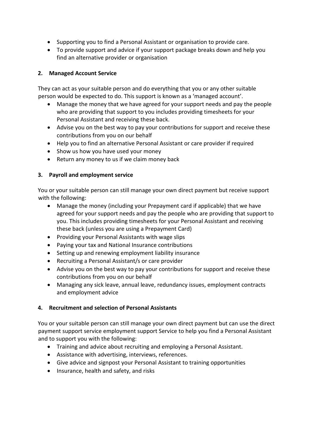- Supporting you to find a Personal Assistant or organisation to provide care.
- • To provide support and advice if your support package breaks down and help you find an alternative provider or organisation

#### **2. Managed Account Service**

 They can act as your suitable person and do everything that you or any other suitable person would be expected to do. This support is known as a 'managed account'.

- • Manage the money that we have agreed for your support needs and pay the people who are providing that support to you includes providing timesheets for your Personal Assistant and receiving these back.
- • Advise you on the best way to pay your contributions for support and receive these contributions from you on our behalf
- Help you to find an alternative Personal Assistant or care provider if required
- Show us how you have used your money
- Return any money to us if we claim money back

#### **3. Payroll and employment service**

 You or your suitable person can still manage your own direct payment but receive support with the following:

- • Manage the money (including your Prepayment card if applicable) that we have agreed for your support needs and pay the people who are providing that support to you. This includes providing timesheets for your Personal Assistant and receiving these back (unless you are using a Prepayment Card)
- Providing your Personal Assistants with wage slips
- Paying your tax and National Insurance contributions
- Setting up and renewing employment liability insurance
- Recruiting a Personal Assistant/s or care provider
- • Advise you on the best way to pay your contributions for support and receive these contributions from you on our behalf
- • Managing any sick leave, annual leave, redundancy issues, employment contracts and employment advice

#### **4. Recruitment and selection of Personal Assistants**

 You or your suitable person can still manage your own direct payment but can use the direct payment support service employment support Service to help you find a Personal Assistant and to support you with the following:

- Training and advice about recruiting and employing a Personal Assistant.
- Assistance with advertising, interviews, references.
- Give advice and signpost your Personal Assistant to training opportunities
- Insurance, health and safety, and risks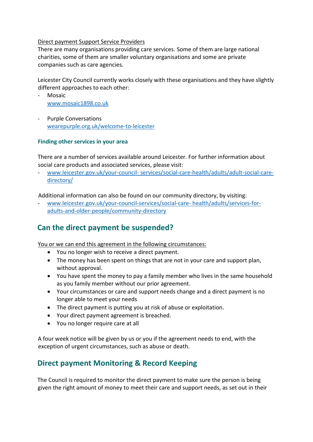#### <span id="page-10-0"></span>Direct payment Support Service Providers

 There are many organisations providing care services. Some of them are large national charities, some of them are smaller voluntary organisations and some are private companies such as care agencies.

 Leicester City Council currently works closely with these organisations and they have slightly different approaches to each other:

- Mosaic [www.mosaic1898.co.uk](http://www.mosaic1898.co.uk/)
- Purple Conversations [wearepurple.org.uk/welcome-to-leicester](file:///C:/Users/Pras/Desktop/DP%20Guidance/wearepurple.org.uk/welcome-to-leicester)

#### <span id="page-10-1"></span> **Finding other services in your area**

 There are a number of services available around Leicester. For further information about social care products and associated services, please visit:

- www.leicester.gov.uk/your-council- [services/social-care-health/adults/adult-social-care](http://www.leicester.gov.uk/your-council-%20services/social-care-health/adults/adult-social-care-directory/)[directory/](http://www.leicester.gov.uk/your-council-%20services/social-care-health/adults/adult-social-care-directory/) 

Additional information can also be found on our community directory, by visiting:

- [www.leicester.gov.uk/your-council-services/social-care-](http://www.leicester.gov.uk/your-council-services/social-care-%20health/adults/services-for-adults-and-older-people/community-directory) health/adults/services-for[adults-and-older-people/community-directory](http://www.leicester.gov.uk/your-council-services/social-care-%20health/adults/services-for-adults-and-older-people/community-directory) 

## <span id="page-10-2"></span>**Can the direct payment be suspended?**

You or we can end this agreement in the following circumstances:

- You no longer wish to receive a direct payment.
- • The money has been spent on things that are not in your care and support plan, without approval.
- • You have spent the money to pay a family member who lives in the same household as you family member without our prior agreement.
- • Your circumstances or care and support needs change and a direct payment is no longer able to meet your needs
- The direct payment is putting you at risk of abuse or exploitation.
- Your direct payment agreement is breached.
- You no longer require care at all

 A four week notice will be given by us or you if the agreement needs to end, with the exception of urgent circumstances, such as abuse or death.

## <span id="page-10-3"></span>**Direct payment Monitoring & Record Keeping**

 The Council is required to monitor the direct payment to make sure the person is being given the right amount of money to meet their care and support needs, as set out in their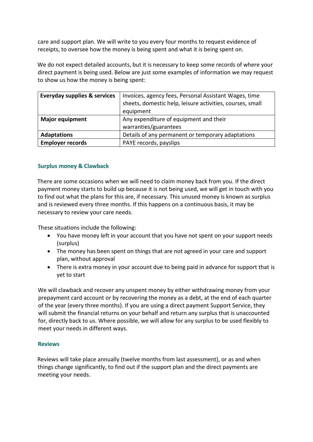care and support plan. We will write to you every four months to request evidence of receipts, to oversee how the money is being spent and what it is being spent on.

 We do not expect detailed accounts, but it is necessary to keep some records of where your direct payment is being used. Below are just some examples of information we may request to show us how the money is being spent:

| <b>Everyday supplies &amp; services</b> | Invoices, agency fees, Personal Assistant Wages, time<br>sheets, domestic help, leisure activities, courses, small<br>equipment |
|-----------------------------------------|---------------------------------------------------------------------------------------------------------------------------------|
| <b>Major equipment</b>                  | Any expenditure of equipment and their                                                                                          |
|                                         | warranties/guarantees                                                                                                           |
| <b>Adaptations</b>                      | Details of any permanent or temporary adaptations                                                                               |
| <b>Employer records</b>                 | PAYE records, payslips                                                                                                          |

#### <span id="page-11-0"></span>**Surplus money & Clawback**

 There are some occasions when we will need to claim money back from you. If the direct payment money starts to build up because it is not being used, we will get in touch with you to find out what the plans for this are, if necessary. This unused money is known as surplus and is reviewed every three months. If this happens on a continuous basis, it may be necessary to review your care needs.

These situations include the following:

- • You have money left in your account that you have not spent on your support needs (surplus)
- • The money has been spent on things that are not agreed in your care and support plan, without approval
- • There is extra money in your account due to being paid in advance for support that is yet to start

 We will clawback and recover any unspent money by either withdrawing money from your prepayment card account or by recovering the money as a debt, at the end of each quarter of the year (every three months). If you are using a direct payment Support Service, they will submit the financial returns on your behalf and return any surplus that is unaccounted for, directly back to us. Where possible, we will allow for any surplus to be used flexibly to meet your needs in different ways.

#### <span id="page-11-1"></span>**Reviews**

 Reviews will take place annually (twelve months from last assessment), or as and when things change significantly, to find out if the support plan and the direct payments are meeting your needs.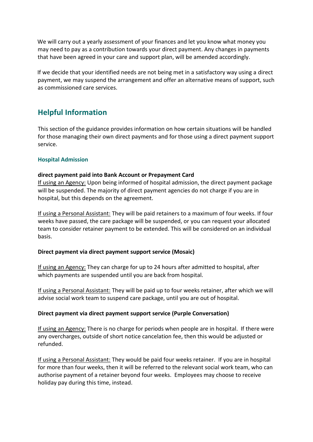We will carry out a yearly assessment of your finances and let you know what money you may need to pay as a contribution towards your direct payment. Any changes in payments that have been agreed in your care and support plan, will be amended accordingly.

 If we decide that your identified needs are not being met in a satisfactory way using a direct as commissioned care services. payment, we may suspend the arrangement and offer an alternative means of support, such

## <span id="page-12-0"></span>**Helpful Information**

 This section of the guidance provides information on how certain situations will be handled for those managing their own direct payments and for those using a direct payment support service.

#### <span id="page-12-1"></span>**Hospital Admission**

#### **direct payment paid into Bank Account or Prepayment Card**

 will be suspended. The majority of direct payment agencies do not charge if you are in If using an Agency: Upon being informed of hospital admission, the direct payment package hospital, but this depends on the agreement.

If using a Personal Assistant: They will be paid retainers to a maximum of four weeks. If four weeks have passed, the care package will be suspended, or you can request your allocated team to consider retainer payment to be extended. This will be considered on an individual basis.

#### **Direct payment via direct payment support service (Mosaic)**

If using an Agency: They can charge for up to 24 hours after admitted to hospital, after which payments are suspended until you are back from hospital.

If using a Personal Assistant: They will be paid up to four weeks retainer, after which we will advise social work team to suspend care package, until you are out of hospital.

#### **Direct payment via direct payment support service (Purple Conversation)**

If using an Agency: There is no charge for periods when people are in hospital. If there were any overcharges, outside of short notice cancelation fee, then this would be adjusted or refunded.

If using a Personal Assistant: They would be paid four weeks retainer. If you are in hospital for more than four weeks, then it will be referred to the relevant social work team, who can authorise payment of a retainer beyond four weeks. Employees may choose to receive holiday pay during this time, instead.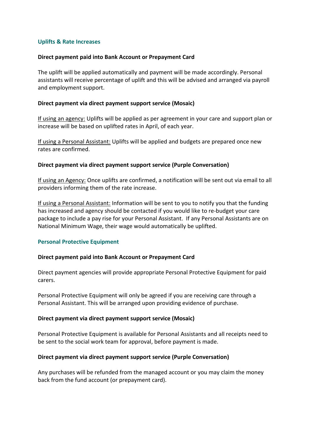#### <span id="page-13-0"></span> **Uplifts & Rate Increases**

#### **Direct payment paid into Bank Account or Prepayment Card**

 The uplift will be applied automatically and payment will be made accordingly. Personal assistants will receive percentage of uplift and this will be advised and arranged via payroll and employment support.

#### **Direct payment via direct payment support service (Mosaic)**

If using an agency: Uplifts will be applied as per agreement in your care and support plan or increase will be based on uplifted rates in April, of each year.

If using a Personal Assistant: Uplifts will be applied and budgets are prepared once new rates are confirmed.

#### **Direct payment via direct payment support service (Purple Conversation)**

If using an Agency: Once uplifts are confirmed, a notification will be sent out via email to all providers informing them of the rate increase.

If using a Personal Assistant: Information will be sent to you to notify you that the funding has increased and agency should be contacted if you would like to re-budget your care package to include a pay rise for your Personal Assistant. If any Personal Assistants are on National Minimum Wage, their wage would automatically be uplifted.

#### <span id="page-13-1"></span> **Personal Protective Equipment**

#### **Direct payment paid into Bank Account or Prepayment Card**

 Direct payment agencies will provide appropriate Personal Protective Equipment for paid carers.

 Personal Protective Equipment will only be agreed if you are receiving care through a Personal Assistant. This will be arranged upon providing evidence of purchase.

#### **Direct payment via direct payment support service (Mosaic)**

 Personal Protective Equipment is available for Personal Assistants and all receipts need to be sent to the social work team for approval, before payment is made.

#### **Direct payment via direct payment support service (Purple Conversation)**

 Any purchases will be refunded from the managed account or you may claim the money back from the fund account (or prepayment card).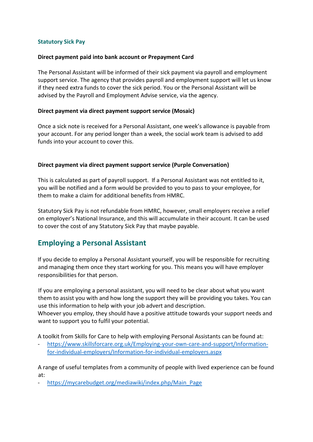#### <span id="page-14-0"></span>**Statutory Sick Pay**

#### **Direct payment paid into bank account or Prepayment Card**

 The Personal Assistant will be informed of their sick payment via payroll and employment support service. The agency that provides payroll and employment support will let us know if they need extra funds to cover the sick period. You or the Personal Assistant will be advised by the Payroll and Employment Advise service, via the agency.

#### **Direct payment via direct payment support service (Mosaic)**

 your account. For any period longer than a week, the social work team is advised to add Once a sick note is received for a Personal Assistant, one week's allowance is payable from funds into your account to cover this.

#### **Direct payment via direct payment support service (Purple Conversation)**

 This is calculated as part of payroll support. If a Personal Assistant was not entitled to it, you will be notified and a form would be provided to you to pass to your employee, for them to make a claim for additional benefits from HMRC.

 on employer's National Insurance, and this will accumulate in their account. It can be used to cover the cost of any Statutory Sick Pay that maybe payable. Statutory Sick Pay is not refundable from HMRC, however, small employers receive a relief

## <span id="page-14-1"></span>**Employing a Personal Assistant**

 and managing them once they start working for you. This means you will have employer responsibilities for that person. If you decide to employ a Personal Assistant yourself, you will be responsible for recruiting

 If you are employing a personal assistant, you will need to be clear about what you want them to assist you with and how long the support they will be providing you takes. You can use this information to help with your job advert and description. Whoever you employ, they should have a positive attitude towards your support needs and want to support you to fulfil your potential.

A toolkit from Skills for Care to help with employing Personal Assistants can be found at:

[https://www.skillsforcare.org.uk/Employing-your-own-care-and-support/Information](https://www.skillsforcare.org.uk/Employing-your-own-care-and-support/Information-for-individual-employers/Information-for-individual-employers.aspx)[for-individual-employers/Information-for-individual-employers.aspx](https://www.skillsforcare.org.uk/Employing-your-own-care-and-support/Information-for-individual-employers/Information-for-individual-employers.aspx) 

 A range of useful templates from a community of people with lived experience can be found at:

https://mycarebudget.org/mediawiki/index.php/Main\_Page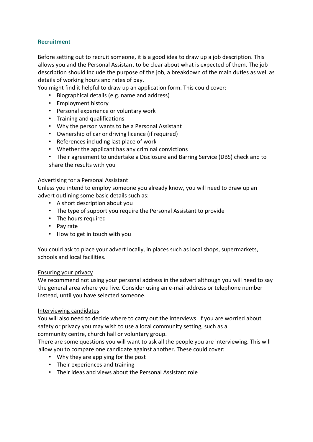#### <span id="page-15-0"></span>**Recruitment**

 Before setting out to recruit someone, it is a good idea to draw up a job description. This allows you and the Personal Assistant to be clear about what is expected of them. The job description should include the purpose of the job, a breakdown of the main duties as well as details of working hours and rates of pay.

You might find it helpful to draw up an application form. This could cover:

- Biographical details (e.g. name and address)
- Employment history
- Personal experience or voluntary work
- Training and qualifications
- Why the person wants to be a Personal Assistant
- Ownership of car or driving licence (if required)
- References including last place of work
- Whether the applicant has any criminal convictions
- • Their agreement to undertake a Disclosure and Barring Service (DBS) check and to share the results with you

#### Advertising for a Personal Assistant

 Unless you intend to employ someone you already know, you will need to draw up an advert outlining some basic details such as:

- A short description about you
- The type of support you require the Personal Assistant to provide
- The hours required
- Pay rate
- How to get in touch with you

 You could ask to place your advert locally, in places such as local shops, supermarkets, schools and local facilities.

#### Ensuring your privacy

 We recommend not using your personal address in the advert although you will need to say the general area where you live. Consider using an e-mail address or telephone number instead, until you have selected someone.

#### Interviewing candidates

 You will also need to decide where to carry out the interviews. If you are worried about safety or privacy you may wish to use a local community setting, such as a community centre, church hall or voluntary group.

There are some questions you will want to ask all the people you are interviewing. This will

allow you to compare one candidate against another. These could cover:

- Why they are applying for the post
- Their experiences and training
- Their ideas and views about the Personal Assistant role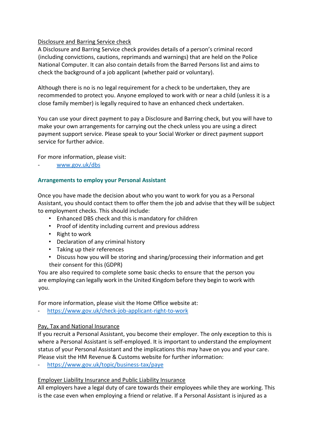#### Disclosure and Barring Service check

 A Disclosure and Barring Service check provides details of a person's criminal record (including convictions, cautions, reprimands and warnings) that are held on the Police National Computer. It can also contain details from the Barred Persons list and aims to check the background of a job applicant (whether paid or voluntary).

 Although there is no is no legal requirement for a check to be undertaken, they are recommended to protect you. Anyone employed to work with or near a child (unless it is a close family member) is legally required to have an enhanced check undertaken.

 You can use your direct payment to pay a Disclosure and Barring check, but you will have to make your own arrangements for carrying out the check unless you are using a direct payment support service. Please speak to your Social Worker or direct payment support service for further advice.

For more information, please visit:

- [www.gov.uk/dbs](http://www.gov.uk/dbs) 

#### <span id="page-16-0"></span> **Arrangements to employ your Personal Assistant**

 Once you have made the decision about who you want to work for you as a Personal Assistant, you should contact them to offer them the job and advise that they will be subject to employment checks. This should include:

- Enhanced DBS check and this is mandatory for children
- Proof of identity including current and previous address
- Right to work
- Declaration of any criminal history
- Taking up their references
- • Discuss how you will be storing and sharing/processing their information and get their consent for this (GDPR)

 You are also required to complete some basic checks to ensure that the person you are employing can legally work in the United Kingdom before they begin to work with you.

For more information, please visit the Home Office website at:

- <https://www.gov.uk/check-job-applicant-right-to-work>

#### Pay, Tax and National Insurance

 If you recruit a Personal Assistant, you become their employer. The only exception to this is where a Personal Assistant is self-employed. It is important to understand the employment status of your Personal Assistant and the implications this may have on you and your care. Please visit the HM Revenue & Customs website for further information:

- <https://www.gov.uk/topic/business-tax/paye>

#### Employer Liability Insurance and Public Liability Insurance

 All employers have a legal duty of care towards their employees while they are working. This is the case even when employing a friend or relative. If a Personal Assistant is injured as a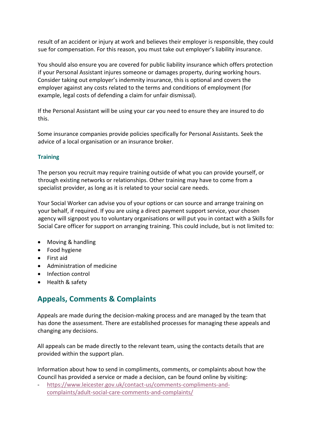result of an accident or injury at work and believes their employer is responsible, they could sue for compensation. For this reason, you must take out employer's liability insurance.

 You should also ensure you are covered for public liability insurance which offers protection if your Personal Assistant injures someone or damages property, during working hours. Consider taking out employer's indemnity insurance, this is optional and covers the employer against any costs related to the terms and conditions of employment (for example, legal costs of defending a claim for unfair dismissal).

 If the Personal Assistant will be using your car you need to ensure they are insured to do this.

Some insurance companies provide policies specifically for Personal Assistants. Seek the advice of a local organisation or an insurance broker.

#### <span id="page-17-0"></span>**Training**

 The person you recruit may require training outside of what you can provide yourself, or through existing networks or relationships. Other training may have to come from a specialist provider, as long as it is related to your social care needs.

 Your Social Worker can advise you of your options or can source and arrange training on your behalf, if required. If you are using a direct payment support service, your chosen agency will signpost you to voluntary organisations or will put you in contact with a Skills for Social Care officer for support on arranging training. This could include, but is not limited to:

- Moving & handling
- Food hygiene
- First aid
- Administration of medicine
- Infection control
- Health & safety

## <span id="page-17-1"></span>**Appeals, Comments & Complaints**

 Appeals are made during the decision-making process and are managed by the team that has done the assessment. There are established processes for managing these appeals and changing any decisions.

 All appeals can be made directly to the relevant team, using the contacts details that are provided within the support plan.

 Information about how to send in compliments, comments, or complaints about how the Council has provided a service or made a decision, can be found online by visiting:

- [https://www.leicester.gov.uk/contact-us/comments-compliments-and](https://www.leicester.gov.uk/contact-us/comments-compliments-and-complaints/adult-social-care-comments-and-complaints/)[complaints/adult-social-care-comments-and-complaints/](https://www.leicester.gov.uk/contact-us/comments-compliments-and-complaints/adult-social-care-comments-and-complaints/)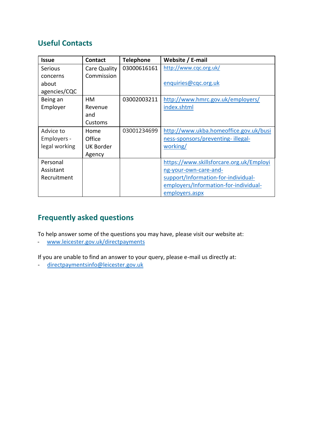## <span id="page-18-0"></span>**Useful Contacts**

| <b>Issue</b>  | <b>Contact</b>   | <b>Telephone</b> | Website / E-mail                         |
|---------------|------------------|------------------|------------------------------------------|
| Serious       | Care Quality     | 03000616161      | http://www.cqc.org.uk/                   |
| concerns      | Commission       |                  |                                          |
| about         |                  |                  | enquiries@cqc.org.uk                     |
| agencies/CQC  |                  |                  |                                          |
| Being an      | HM               | 03002003211      | http://www.hmrc.gov.uk/employers/        |
| Employer      | Revenue          |                  | index.shtml                              |
|               | and              |                  |                                          |
|               | Customs          |                  |                                          |
| Advice to     | Home             | 03001234699      | http://www.ukba.homeoffice.gov.uk/busi   |
| Employers -   | Office           |                  | ness-sponsors/preventing-illegal-        |
| legal working | <b>UK Border</b> |                  | working/                                 |
|               | Agency           |                  |                                          |
| Personal      |                  |                  | https://www.skillsforcare.org.uk/Employi |
| Assistant     |                  |                  | ng-your-own-care-and-                    |
| Recruitment   |                  |                  | support/Information-for-individual-      |
|               |                  |                  | employers/Information-for-individual-    |
|               |                  |                  | employers.aspx                           |

## <span id="page-18-1"></span>**Frequently asked questions**

To help answer some of the questions you may have, please visit our website at:

- [www.leicester.gov.uk/directpayments](http://www.leicester.gov.uk/directpayments) 

If you are unable to find an answer to your query, please e-mail us directly at:

- [directpaymentsinfo@leicester.gov.uk](mailto:directpaymentsinfo@leicester.gov.uk)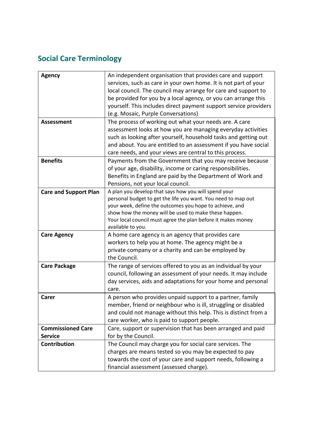# <span id="page-19-0"></span>**Social Care Terminology**

| <b>Agency</b>                | An independent organisation that provides care and support       |
|------------------------------|------------------------------------------------------------------|
|                              | services, such as care in your own home. It is not part of your  |
|                              | local council. The council may arrange for care and support to   |
|                              | be provided for you by a local agency, or you can arrange this   |
|                              | yourself. This includes direct payment support service providers |
|                              | (e.g. Mosaic, Purple Conversations)                              |
| <b>Assessment</b>            | The process of working out what your needs are. A care           |
|                              | assessment looks at how you are managing everyday activities     |
|                              | such as looking after yourself, household tasks and getting out  |
|                              | and about. You are entitled to an assessment if you have social  |
|                              | care needs, and your views are central to this process.          |
| <b>Benefits</b>              | Payments from the Government that you may receive because        |
|                              | of your age, disability, income or caring responsibilities.      |
|                              | Benefits in England are paid by the Department of Work and       |
|                              | Pensions, not your local council.                                |
| <b>Care and Support Plan</b> | A plan you develop that says how you will spend your             |
|                              | personal budget to get the life you want. You need to map out    |
|                              | your week, define the outcomes you hope to achieve, and          |
|                              | show how the money will be used to make these happen.            |
|                              | Your local council must agree the plan before it makes money     |
|                              | available to you.                                                |
| <b>Care Agency</b>           | A home care agency is an agency that provides care               |
|                              | workers to help you at home. The agency might be a               |
|                              | private company or a charity and can be employed by              |
|                              | the Council.                                                     |
| <b>Care Package</b>          | The range of services offered to you as an individual by your    |
|                              | council, following an assessment of your needs. It may include   |
|                              | day services, aids and adaptations for your home and personal    |
|                              | care.                                                            |
| <b>Carer</b>                 | A person who provides unpaid support to a partner, family        |
|                              | member, friend or neighbour who is ill, struggling or disabled   |
|                              | and could not manage without this help. This is distinct from a  |
|                              | care worker, who is paid to support people.                      |
| <b>Commissioned Care</b>     | Care, support or supervision that has been arranged and paid     |
| <b>Service</b>               | for by the Council.                                              |
| <b>Contribution</b>          | The Council may charge you for social care services. The         |
|                              | charges are means tested so you may be expected to pay           |
|                              | towards the cost of your care and support needs, following a     |
|                              | financial assessment (assessed charge).                          |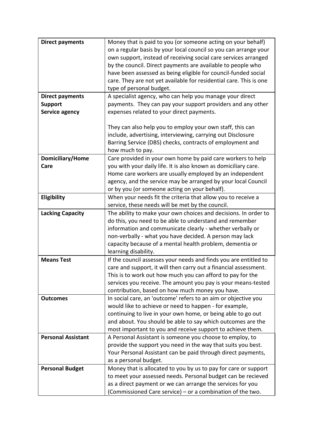| <b>Direct payments</b>    | Money that is paid to you (or someone acting on your behalf)       |
|---------------------------|--------------------------------------------------------------------|
|                           | on a regular basis by your local council so you can arrange your   |
|                           |                                                                    |
|                           | own support, instead of receiving social care services arranged    |
|                           | by the council. Direct payments are available to people who        |
|                           | have been assessed as being eligible for council-funded social     |
|                           | care. They are not yet available for residential care. This is one |
|                           | type of personal budget.                                           |
| <b>Direct payments</b>    | A specialist agency, who can help you manage your direct           |
| <b>Support</b>            | payments. They can pay your support providers and any other        |
| Service agency            | expenses related to your direct payments.                          |
|                           |                                                                    |
|                           | They can also help you to employ your own staff, this can          |
|                           | include, advertising, interviewing, carrying out Disclosure        |
|                           | Barring Service (DBS) checks, contracts of employment and          |
|                           | how much to pay.                                                   |
| Domiciliary/Home          | Care provided in your own home by paid care workers to help        |
| Care                      | you with your daily life. It is also known as domiciliary care.    |
|                           | Home care workers are usually employed by an independent           |
|                           | agency, and the service may be arranged by your local Council      |
|                           | or by you (or someone acting on your behalf).                      |
|                           |                                                                    |
| Eligibility               | When your needs fit the criteria that allow you to receive a       |
|                           | service, these needs will be met by the council.                   |
| <b>Lacking Capacity</b>   | The ability to make your own choices and decisions. In order to    |
|                           | do this, you need to be able to understand and remember            |
|                           | information and communicate clearly - whether verbally or          |
|                           | non-verbally - what you have decided. A person may lack            |
|                           | capacity because of a mental health problem, dementia or           |
|                           | learning disability.                                               |
| <b>Means Test</b>         | If the council assesses your needs and finds you are entitled to   |
|                           | care and support, it will then carry out a financial assessment.   |
|                           | This is to work out how much you can afford to pay for the         |
|                           | services you receive. The amount you pay is your means-tested      |
|                           | contribution, based on how much money you have.                    |
| <b>Outcomes</b>           | In social care, an 'outcome' refers to an aim or objective you     |
|                           | would like to achieve or need to happen - for example,             |
|                           | continuing to live in your own home, or being able to go out       |
|                           | and about. You should be able to say which outcomes are the        |
|                           | most important to you and receive support to achieve them.         |
| <b>Personal Assistant</b> | A Personal Assistant is someone you choose to employ, to           |
|                           | provide the support you need in the way that suits you best.       |
|                           | Your Personal Assistant can be paid through direct payments,       |
|                           | as a personal budget.                                              |
|                           | Money that is allocated to you by us to pay for care or support    |
| <b>Personal Budget</b>    |                                                                    |
|                           | to meet your assessed needs. Personal budget can be recieved       |
|                           | as a direct payment or we can arrange the services for you         |
|                           | (Commissioned Care service) - or a combination of the two.         |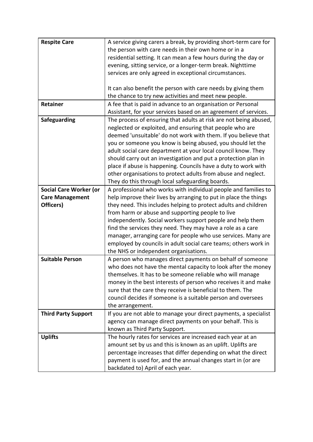| <b>Respite Care</b>           | A service giving carers a break, by providing short-term care for<br>the person with care needs in their own home or in a<br>residential setting. It can mean a few hours during the day or<br>evening, sitting service, or a longer-term break. Nighttime<br>services are only agreed in exceptional circumstances.                                                                                                                                                                                                                                                                    |
|-------------------------------|-----------------------------------------------------------------------------------------------------------------------------------------------------------------------------------------------------------------------------------------------------------------------------------------------------------------------------------------------------------------------------------------------------------------------------------------------------------------------------------------------------------------------------------------------------------------------------------------|
|                               | It can also benefit the person with care needs by giving them<br>the chance to try new activities and meet new people.                                                                                                                                                                                                                                                                                                                                                                                                                                                                  |
| Retainer                      | A fee that is paid in advance to an organisation or Personal<br>Assistant, for your services based on an agreement of services.                                                                                                                                                                                                                                                                                                                                                                                                                                                         |
| Safeguarding                  | The process of ensuring that adults at risk are not being abused,<br>neglected or exploited, and ensuring that people who are<br>deemed 'unsuitable' do not work with them. If you believe that<br>you or someone you know is being abused, you should let the<br>adult social care department at your local council know. They<br>should carry out an investigation and put a protection plan in<br>place if abuse is happening. Councils have a duty to work with<br>other organisations to protect adults from abuse and neglect.<br>They do this through local safeguarding boards. |
| <b>Social Care Worker (or</b> | A professional who works with individual people and families to                                                                                                                                                                                                                                                                                                                                                                                                                                                                                                                         |
| <b>Care Management</b>        | help improve their lives by arranging to put in place the things                                                                                                                                                                                                                                                                                                                                                                                                                                                                                                                        |
| Officers)                     | they need. This includes helping to protect adults and children                                                                                                                                                                                                                                                                                                                                                                                                                                                                                                                         |
|                               | from harm or abuse and supporting people to live                                                                                                                                                                                                                                                                                                                                                                                                                                                                                                                                        |
|                               | independently. Social workers support people and help them                                                                                                                                                                                                                                                                                                                                                                                                                                                                                                                              |
|                               | find the services they need. They may have a role as a care                                                                                                                                                                                                                                                                                                                                                                                                                                                                                                                             |
|                               | manager, arranging care for people who use services. Many are                                                                                                                                                                                                                                                                                                                                                                                                                                                                                                                           |
|                               | employed by councils in adult social care teams; others work in                                                                                                                                                                                                                                                                                                                                                                                                                                                                                                                         |
|                               | the NHS or independent organisations.                                                                                                                                                                                                                                                                                                                                                                                                                                                                                                                                                   |
| <b>Suitable Person</b>        | A person who manages direct payments on behalf of someone                                                                                                                                                                                                                                                                                                                                                                                                                                                                                                                               |
|                               | who does not have the mental capacity to look after the money                                                                                                                                                                                                                                                                                                                                                                                                                                                                                                                           |
|                               | themselves. It has to be someone reliable who will manage                                                                                                                                                                                                                                                                                                                                                                                                                                                                                                                               |
|                               | money in the best interests of person who receives it and make                                                                                                                                                                                                                                                                                                                                                                                                                                                                                                                          |
|                               | sure that the care they receive is beneficial to them. The                                                                                                                                                                                                                                                                                                                                                                                                                                                                                                                              |
|                               | council decides if someone is a suitable person and oversees                                                                                                                                                                                                                                                                                                                                                                                                                                                                                                                            |
|                               | the arrangement.                                                                                                                                                                                                                                                                                                                                                                                                                                                                                                                                                                        |
| <b>Third Party Support</b>    | If you are not able to manage your direct payments, a specialist                                                                                                                                                                                                                                                                                                                                                                                                                                                                                                                        |
|                               | agency can manage direct payments on your behalf. This is                                                                                                                                                                                                                                                                                                                                                                                                                                                                                                                               |
|                               | known as Third Party Support.                                                                                                                                                                                                                                                                                                                                                                                                                                                                                                                                                           |
| <b>Uplifts</b>                | The hourly rates for services are increased each year at an                                                                                                                                                                                                                                                                                                                                                                                                                                                                                                                             |
|                               | amount set by us and this is known as an uplift. Uplifts are                                                                                                                                                                                                                                                                                                                                                                                                                                                                                                                            |
|                               | percentage increases that differ depending on what the direct                                                                                                                                                                                                                                                                                                                                                                                                                                                                                                                           |
|                               | payment is used for, and the annual changes start in (or are                                                                                                                                                                                                                                                                                                                                                                                                                                                                                                                            |
|                               | backdated to) April of each year.                                                                                                                                                                                                                                                                                                                                                                                                                                                                                                                                                       |